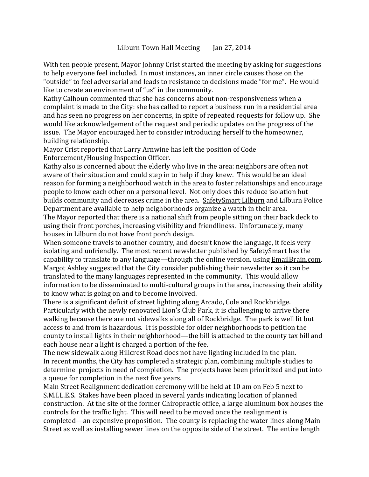With ten people present, Mayor Johnny Crist started the meeting by asking for suggestions to help everyone feel included. In most instances, an inner circle causes those on the "outside" to feel adversarial and leads to resistance to decisions made "for me". He would like to create an environment of "us" in the community.

Kathy Calhoun commented that she has concerns about non-responsiveness when a complaint is made to the City: she has called to report a business run in a residential area and has seen no progress on her concerns, in spite of repeated requests for follow up. She would like acknowledgement of the request and periodic updates on the progress of the issue. The Mayor encouraged her to consider introducing herself to the homeowner, building relationship.

Mayor Crist reported that Larry Arnwine has left the position of Code Enforcement/Housing Inspection Officer.

Kathy also is concerned about the elderly who live in the area: neighbors are often not aware of their situation and could step in to help if they knew. This would be an ideal reason for forming a neighborhood watch in the area to foster relationships and encourage people to know each other on a personal level. Not only does this reduce isolation but builds community and decreases crime in the area. [SafetySmart Lilburn](http://www.safetysmartlilburn.org/) and Lilburn Police Department are available to help neighborhoods organize a watch in their area. The Mayor reported that there is a national shift from people sitting on their back deck to using their front porches, increasing visibility and friendliness. Unfortunately, many houses in Lilburn do not have front porch design.

When someone travels to another country, and doesn't know the language, it feels very isolating and unfriendly. The most recent newsletter published by SafetySmart has the capability to translate to any language—through the online version, using [EmailBrain.com.](http://emailbrain.com/) Margot Ashley suggested that the City consider publishing their newsletter so it can be translated to the many languages represented in the community. This would allow information to be disseminated to multi-cultural groups in the area, increasing their ability to know what is going on and to become involved.

There is a significant deficit of street lighting along Arcado, Cole and Rockbridge. Particularly with the newly renovated Lion's Club Park, it is challenging to arrive there walking because there are not sidewalks along all of Rockbridge. The park is well lit but access to and from is hazardous. It is possible for older neighborhoods to petition the county to install lights in their neighborhood—the bill is attached to the county tax bill and each house near a light is charged a portion of the fee.

The new sidewalk along Hillcrest Road does not have lighting included in the plan. In recent months, the City has completed a strategic plan, combining multiple studies to determine projects in need of completion. The projects have been prioritized and put into a queue for completion in the next five years.

Main Street Realignment dedication ceremony will be held at 10 am on Feb 5 next to S.M.I.L.E.S. Stakes have been placed in several yards indicating location of planned construction. At the site of the former Chiropractic office, a large aluminum box houses the controls for the traffic light. This will need to be moved once the realignment is completed—an expensive proposition. The county is replacing the water lines along Main Street as well as installing sewer lines on the opposite side of the street. The entire length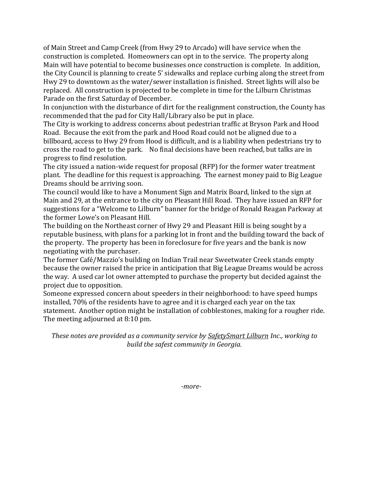of Main Street and Camp Creek (from Hwy 29 to Arcado) will have service when the construction is completed. Homeowners can opt in to the service. The property along Main will have potential to become businesses once construction is complete. In addition, the City Council is planning to create 5' sidewalks and replace curbing along the street from Hwy 29 to downtown as the water/sewer installation is finished. Street lights will also be replaced. All construction is projected to be complete in time for the Lilburn Christmas Parade on the first Saturday of December.

In conjunction with the disturbance of dirt for the realignment construction, the County has recommended that the pad for City Hall/Library also be put in place.

The City is working to address concerns about pedestrian traffic at Bryson Park and Hood Road. Because the exit from the park and Hood Road could not be aligned due to a billboard, access to Hwy 29 from Hood is difficult, and is a liability when pedestrians try to cross the road to get to the park. No final decisions have been reached, but talks are in progress to find resolution.

The city issued a nation-wide request for proposal (RFP) for the former water treatment plant. The deadline for this request is approaching. The earnest money paid to Big League Dreams should be arriving soon.

The council would like to have a Monument Sign and Matrix Board, linked to the sign at Main and 29, at the entrance to the city on Pleasant Hill Road. They have issued an RFP for suggestions for a "Welcome to Lilburn" banner for the bridge of Ronald Reagan Parkway at the former Lowe's on Pleasant Hill.

The building on the Northeast corner of Hwy 29 and Pleasant Hill is being sought by a reputable business, with plans for a parking lot in front and the building toward the back of the property. The property has been in foreclosure for five years and the bank is now negotiating with the purchaser.

The former Café/Mazzio's building on Indian Trail near Sweetwater Creek stands empty because the owner raised the price in anticipation that Big League Dreams would be across the way. A used car lot owner attempted to purchase the property but decided against the project due to opposition.

Someone expressed concern about speeders in their neighborhood: to have speed humps installed, 70% of the residents have to agree and it is charged each year on the tax statement. Another option might be installation of cobblestones, making for a rougher ride. The meeting adjourned at 8:10 pm.

*These notes are provided as a community service by [SafetySmart Lilburn](http://www.safetysmartlilburn.org/) Inc., working to build the safest community in Georgia.*

*-more-*